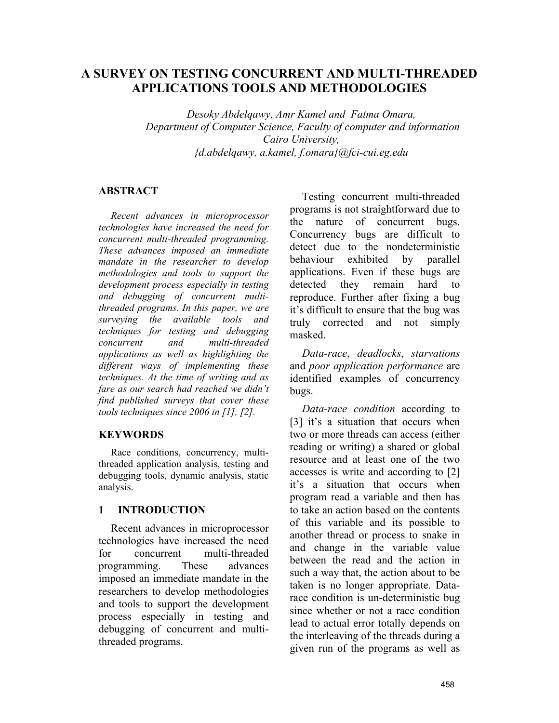# **A SURVEY ON TESTING CONCURRENT AND MULTI-THREADED APPLICATIONS TOOLS AND METHODOLOGIES**

*Desoky Abdelqawy, Amr Kamel and Fatma Omara, Department of Computer Science, Faculty of computer and information Cairo University, {d.abdelqawy, a.kamel, f.omara}@fci-cui.eg.edu*

#### **ABSTRACT**

*Recent advances in microprocessor technologies have increased the need for concurrent multi-threaded programming. These advances imposed an immediate mandate in the researcher to develop methodologies and tools to support the development process especially in testing and debugging of concurrent multithreaded programs. In this paper, we are surveying the available tools and techniques for testing and debugging concurrent and multi-threaded applications as well as highlighting the different ways of implementing these techniques. At the time of writing and as fare as our search had reached we didn't find published surveys that cover these tools techniques since 2006 in [1], [2].* 

#### **KEYWORDS**

Race conditions, concurrency, multithreaded application analysis, testing and debugging tools, dynamic analysis, static analysis.

### **1 INTRODUCTION**

Recent advances in microprocessor technologies have increased the need for concurrent multi-threaded programming. These advances imposed an immediate mandate in the researchers to develop methodologies and tools to support the development process especially in testing and debugging of concurrent and multithreaded programs.

Testing concurrent multi-threaded programs is not straightforward due to the nature of concurrent bugs. Concurrency bugs are difficult to detect due to the nondeterministic behaviour exhibited by parallel applications. Even if these bugs are detected they remain hard to reproduce. Further after fixing a bug it's difficult to ensure that the bug was truly corrected and not simply masked.

*Data-race*, *deadlocks*, *starvations* and *poor application performance* are identified examples of concurrency bugs.

*Data-race condition* according to [3] it's a situation that occurs when two or more threads can access (either reading or writing) a shared or global resource and at least one of the two accesses is write and according to [2] it's a situation that occurs when program read a variable and then has to take an action based on the contents of this variable and its possible to another thread or process to snake in and change in the variable value between the read and the action in such a way that, the action about to be taken is no longer appropriate. Datarace condition is un-deterministic bug since whether or not a race condition lead to actual error totally depends on the interleaving of the threads during a given run of the programs as well as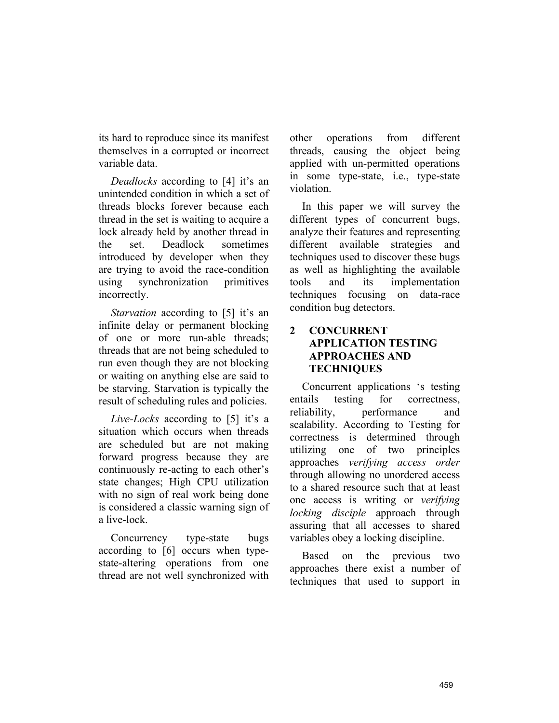its hard to reproduce since its manifest themselves in a corrupted or incorrect variable data.

*Deadlocks* according to [4] it's an unintended condition in which a set of threads blocks forever because each thread in the set is waiting to acquire a lock already held by another thread in the set. Deadlock sometimes introduced by developer when they are trying to avoid the race-condition using synchronization primitives incorrectly.

*Starvation* according to [5] it's an infinite delay or permanent blocking of one or more run-able threads; threads that are not being scheduled to run even though they are not blocking or waiting on anything else are said to be starving. Starvation is typically the result of scheduling rules and policies.

*Live-Locks* according to [5] it's a situation which occurs when threads are scheduled but are not making forward progress because they are continuously re-acting to each other's state changes; High CPU utilization with no sign of real work being done is considered a classic warning sign of a live-lock.

Concurrency type-state bugs according to [6] occurs when typestate-altering operations from one thread are not well synchronized with other operations from different threads, causing the object being applied with un-permitted operations in some type-state, i.e., type-state violation.

In this paper we will survey the different types of concurrent bugs, analyze their features and representing different available strategies and techniques used to discover these bugs as well as highlighting the available tools and its implementation techniques focusing on data-race condition bug detectors.

## **2 CONCURRENT APPLICATION TESTING APPROACHES AND TECHNIQUES**

Concurrent applications 's testing entails testing for correctness, reliability, performance and scalability. According to Testing for correctness is determined through utilizing one of two principles approaches *verifying access order* through allowing no unordered access to a shared resource such that at least one access is writing or *verifying locking disciple* approach through assuring that all accesses to shared variables obey a locking discipline.

Based on the previous two approaches there exist a number of techniques that used to support in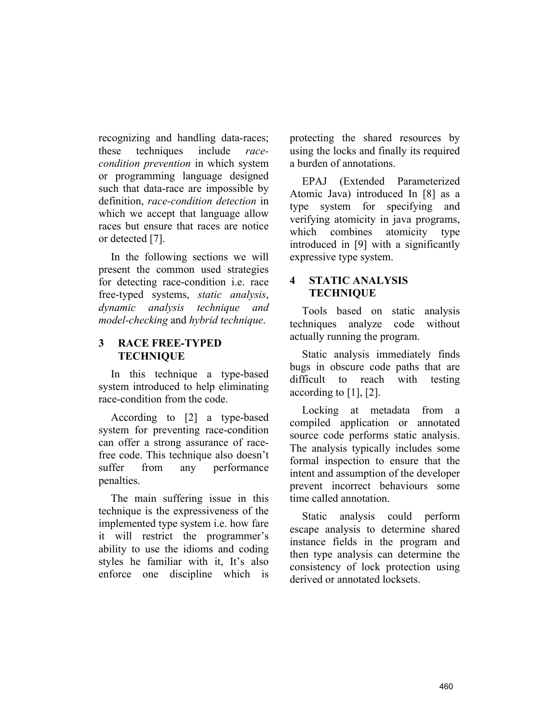recognizing and handling data-races; these techniques include *racecondition prevention* in which system or programming language designed such that data-race are impossible by definition, *race-condition detection* in which we accept that language allow races but ensure that races are notice or detected [7].

In the following sections we will present the common used strategies for detecting race-condition i.e. race free-typed systems, *static analysis*, *dynamic analysis technique and model-checking* and *hybrid technique*.

#### **3 RACE FREE-TYPED TECHNIQUE**

In this technique a type-based system introduced to help eliminating race-condition from the code.

According to [2] a type-based system for preventing race-condition can offer a strong assurance of racefree code. This technique also doesn't suffer from any performance penalties.

The main suffering issue in this technique is the expressiveness of the implemented type system i.e. how fare it will restrict the programmer's ability to use the idioms and coding styles he familiar with it, It's also enforce one discipline which is

protecting the shared resources by using the locks and finally its required a burden of annotations.

EPAJ (Extended Parameterized Atomic Java) introduced In [8] as a type system for specifying and verifying atomicity in java programs, which combines atomicity type introduced in [9] with a significantly expressive type system.

### **4 STATIC ANALYSIS TECHNIQUE**

Tools based on static analysis techniques analyze code without actually running the program.

Static analysis immediately finds bugs in obscure code paths that are difficult to reach with testing according to [1], [2].

Locking at metadata from a compiled application or annotated source code performs static analysis. The analysis typically includes some formal inspection to ensure that the intent and assumption of the developer prevent incorrect behaviours some time called annotation.

Static analysis could perform escape analysis to determine shared instance fields in the program and then type analysis can determine the consistency of lock protection using derived or annotated locksets.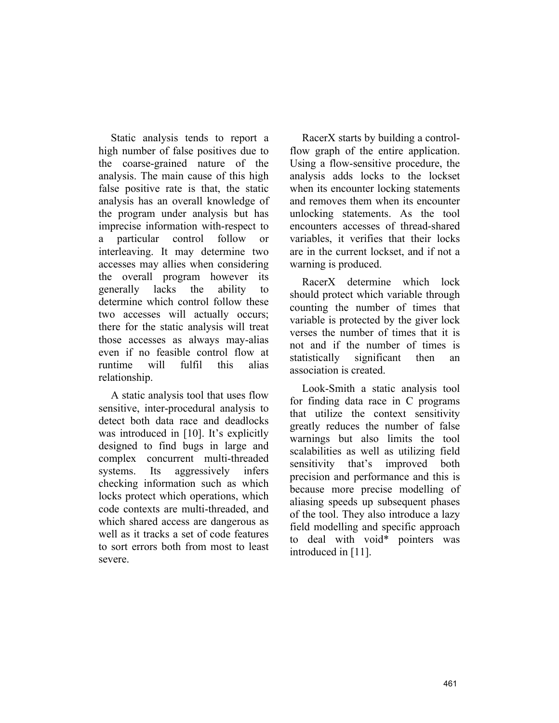Static analysis tends to report a high number of false positives due to the coarse-grained nature of the analysis. The main cause of this high false positive rate is that, the static analysis has an overall knowledge of the program under analysis but has imprecise information with-respect to a particular control follow or interleaving. It may determine two accesses may allies when considering the overall program however its generally lacks the ability to determine which control follow these two accesses will actually occurs; there for the static analysis will treat those accesses as always may-alias even if no feasible control flow at runtime will fulfil this alias relationship.

A static analysis tool that uses flow sensitive, inter-procedural analysis to detect both data race and deadlocks was introduced in [10]. It's explicitly designed to find bugs in large and complex concurrent multi-threaded systems. Its aggressively infers checking information such as which locks protect which operations, which code contexts are multi-threaded, and which shared access are dangerous as well as it tracks a set of code features to sort errors both from most to least severe.

RacerX starts by building a controlflow graph of the entire application. Using a flow-sensitive procedure, the analysis adds locks to the lockset when its encounter locking statements and removes them when its encounter unlocking statements. As the tool encounters accesses of thread-shared variables, it verifies that their locks are in the current lockset, and if not a warning is produced.

RacerX determine which lock should protect which variable through counting the number of times that variable is protected by the giver lock verses the number of times that it is not and if the number of times is statistically significant then an association is created.

Look-Smith a static analysis tool for finding data race in C programs that utilize the context sensitivity greatly reduces the number of false warnings but also limits the tool scalabilities as well as utilizing field sensitivity that's improved both precision and performance and this is because more precise modelling of aliasing speeds up subsequent phases of the tool. They also introduce a lazy field modelling and specific approach to deal with void\* pointers was introduced in [11].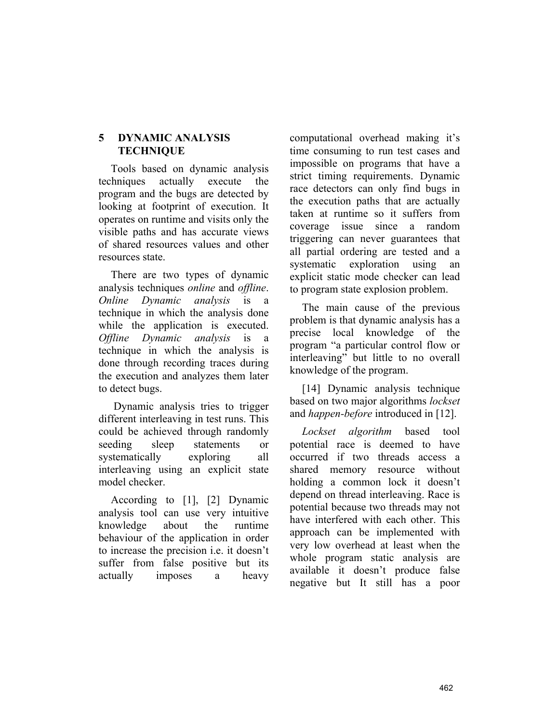### **5 DYNAMIC ANALYSIS TECHNIQUE**

Tools based on dynamic analysis techniques actually execute the program and the bugs are detected by looking at footprint of execution. It operates on runtime and visits only the visible paths and has accurate views of shared resources values and other resources state.

There are two types of dynamic analysis techniques *online* and *offline*. *Online Dynamic analysis* is a technique in which the analysis done while the application is executed. *Offline Dynamic analysis* is a technique in which the analysis is done through recording traces during the execution and analyzes them later to detect bugs.

 Dynamic analysis tries to trigger different interleaving in test runs. This could be achieved through randomly seeding sleep statements or systematically exploring all interleaving using an explicit state model checker.

According to [1], [2] Dynamic analysis tool can use very intuitive knowledge about the runtime behaviour of the application in order to increase the precision i.e. it doesn't suffer from false positive but its actually imposes a heavy computational overhead making it's time consuming to run test cases and impossible on programs that have a strict timing requirements. Dynamic race detectors can only find bugs in the execution paths that are actually taken at runtime so it suffers from coverage issue since a random triggering can never guarantees that all partial ordering are tested and a systematic exploration using an explicit static mode checker can lead to program state explosion problem.

The main cause of the previous problem is that dynamic analysis has a precise local knowledge of the program "a particular control flow or interleaving" but little to no overall knowledge of the program.

[14] Dynamic analysis technique based on two major algorithms *lockset* and *happen-before* introduced in [12].

*Lockset algorithm* based tool potential race is deemed to have occurred if two threads access a shared memory resource without holding a common lock it doesn't depend on thread interleaving. Race is potential because two threads may not have interfered with each other. This approach can be implemented with very low overhead at least when the whole program static analysis are available it doesn't produce false negative but It still has a poor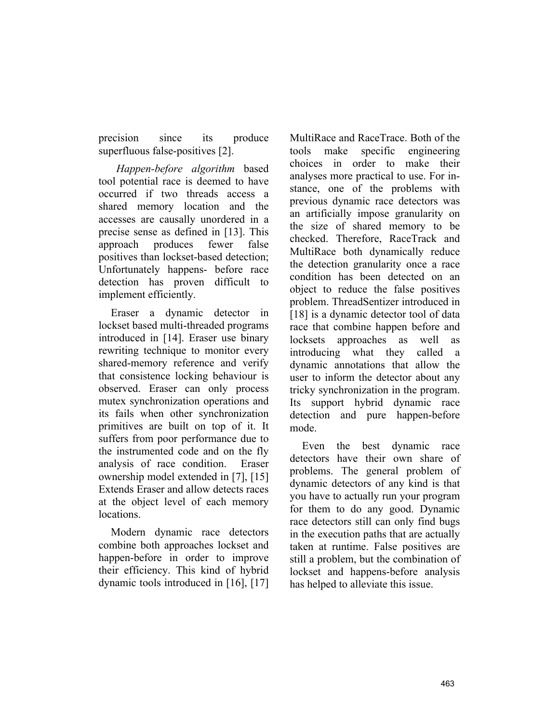precision since its produce superfluous false-positives [2].

 *Happen-before algorithm* based tool potential race is deemed to have occurred if two threads access a shared memory location and the accesses are causally unordered in a precise sense as defined in [13]. This approach produces fewer false positives than lockset-based detection; Unfortunately happens- before race detection has proven difficult to implement efficiently.

Eraser a dynamic detector in lockset based multi-threaded programs introduced in [14]. Eraser use binary rewriting technique to monitor every shared-memory reference and verify that consistence locking behaviour is observed. Eraser can only process mutex synchronization operations and its fails when other synchronization primitives are built on top of it. It suffers from poor performance due to the instrumented code and on the fly analysis of race condition. Eraser ownership model extended in [7], [15] Extends Eraser and allow detects races at the object level of each memory locations.

Modern dynamic race detectors combine both approaches lockset and happen-before in order to improve their efficiency. This kind of hybrid dynamic tools introduced in [16], [17]

MultiRace and RaceTrace. Both of the tools make specific engineering choices in order to make their analyses more practical to use. For instance, one of the problems with previous dynamic race detectors was an artificially impose granularity on the size of shared memory to be checked. Therefore, RaceTrack and MultiRace both dynamically reduce the detection granularity once a race condition has been detected on an object to reduce the false positives problem. ThreadSentizer introduced in [18] is a dynamic detector tool of data race that combine happen before and locksets approaches as well as introducing what they called a dynamic annotations that allow the user to inform the detector about any tricky synchronization in the program. Its support hybrid dynamic race detection and pure happen-before mode.

Even the best dynamic race detectors have their own share of problems. The general problem of dynamic detectors of any kind is that you have to actually run your program for them to do any good. Dynamic race detectors still can only find bugs in the execution paths that are actually taken at runtime. False positives are still a problem, but the combination of lockset and happens-before analysis has helped to alleviate this issue.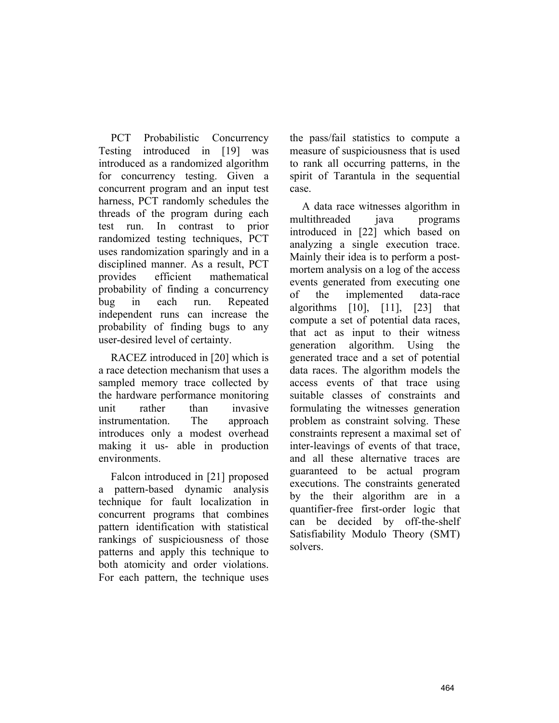PCT Probabilistic Concurrency Testing introduced in [19] was introduced as a randomized algorithm for concurrency testing. Given a concurrent program and an input test harness, PCT randomly schedules the threads of the program during each test run. In contrast to prior randomized testing techniques, PCT uses randomization sparingly and in a disciplined manner. As a result, PCT provides efficient mathematical probability of finding a concurrency bug in each run. Repeated independent runs can increase the probability of finding bugs to any user-desired level of certainty.

RACEZ introduced in [20] which is a race detection mechanism that uses a sampled memory trace collected by the hardware performance monitoring unit rather than invasive instrumentation. The approach introduces only a modest overhead making it us- able in production environments.

Falcon introduced in [21] proposed a pattern-based dynamic analysis technique for fault localization in concurrent programs that combines pattern identification with statistical rankings of suspiciousness of those patterns and apply this technique to both atomicity and order violations. For each pattern, the technique uses the pass/fail statistics to compute a measure of suspiciousness that is used to rank all occurring patterns, in the spirit of Tarantula in the sequential case.

A data race witnesses algorithm in multithreaded java programs introduced in [22] which based on analyzing a single execution trace. Mainly their idea is to perform a postmortem analysis on a log of the access events generated from executing one of the implemented data-race algorithms  $[10]$ ,  $[11]$ ,  $[23]$  that compute a set of potential data races, that act as input to their witness generation algorithm. Using the generated trace and a set of potential data races. The algorithm models the access events of that trace using suitable classes of constraints and formulating the witnesses generation problem as constraint solving. These constraints represent a maximal set of inter-leavings of events of that trace, and all these alternative traces are guaranteed to be actual program executions. The constraints generated by the their algorithm are in a quantifier-free first-order logic that can be decided by off-the-shelf Satisfiability Modulo Theory (SMT) solvers.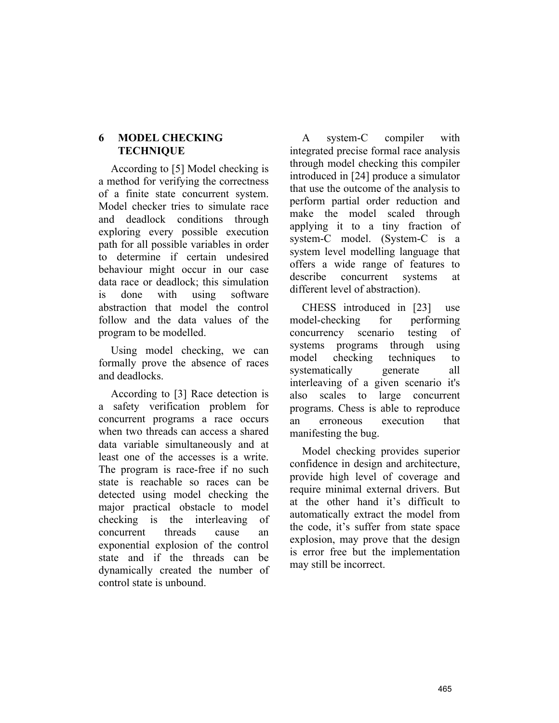### **6 MODEL CHECKING TECHNIQUE**

According to [5] Model checking is a method for verifying the correctness of a finite state concurrent system. Model checker tries to simulate race and deadlock conditions through exploring every possible execution path for all possible variables in order to determine if certain undesired behaviour might occur in our case data race or deadlock; this simulation is done with using software abstraction that model the control follow and the data values of the program to be modelled.

Using model checking, we can formally prove the absence of races and deadlocks.

According to [3] Race detection is a safety verification problem for concurrent programs a race occurs when two threads can access a shared data variable simultaneously and at least one of the accesses is a write. The program is race-free if no such state is reachable so races can be detected using model checking the major practical obstacle to model checking is the interleaving of concurrent threads cause an exponential explosion of the control state and if the threads can be dynamically created the number of control state is unbound.

A system-C compiler with integrated precise formal race analysis through model checking this compiler introduced in [24] produce a simulator that use the outcome of the analysis to perform partial order reduction and make the model scaled through applying it to a tiny fraction of system-C model. (System-C is a system level modelling language that offers a wide range of features to describe concurrent systems at different level of abstraction).

CHESS introduced in [23] use model-checking for performing concurrency scenario testing of systems programs through using model checking techniques to systematically generate all interleaving of a given scenario it's also scales to large concurrent programs. Chess is able to reproduce an erroneous execution that manifesting the bug.

Model checking provides superior confidence in design and architecture, provide high level of coverage and require minimal external drivers. But at the other hand it's difficult to automatically extract the model from the code, it's suffer from state space explosion, may prove that the design is error free but the implementation may still be incorrect.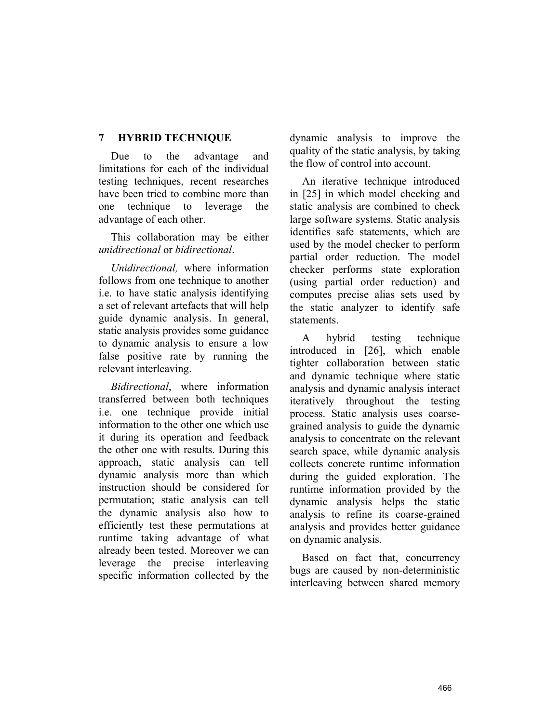## **7 HYBRID TECHNIQUE**

Due to the advantage and limitations for each of the individual testing techniques, recent researches have been tried to combine more than one technique to leverage the advantage of each other.

This collaboration may be either *unidirectional* or *bidirectional*.

*Unidirectional,* where information follows from one technique to another i.e. to have static analysis identifying a set of relevant artefacts that will help guide dynamic analysis. In general, static analysis provides some guidance to dynamic analysis to ensure a low false positive rate by running the relevant interleaving.

*Bidirectional*, where information transferred between both techniques i.e. one technique provide initial information to the other one which use it during its operation and feedback the other one with results. During this approach, static analysis can tell dynamic analysis more than which instruction should be considered for permutation; static analysis can tell the dynamic analysis also how to efficiently test these permutations at runtime taking advantage of what already been tested. Moreover we can leverage the precise interleaving specific information collected by the

dynamic analysis to improve the quality of the static analysis, by taking the flow of control into account.

An iterative technique introduced in [25] in which model checking and static analysis are combined to check large software systems. Static analysis identifies safe statements, which are used by the model checker to perform partial order reduction. The model checker performs state exploration (using partial order reduction) and computes precise alias sets used by the static analyzer to identify safe statements.

A hybrid testing technique introduced in [26], which enable tighter collaboration between static and dynamic technique where static analysis and dynamic analysis interact iteratively throughout the testing process. Static analysis uses coarsegrained analysis to guide the dynamic analysis to concentrate on the relevant search space, while dynamic analysis collects concrete runtime information during the guided exploration. The runtime information provided by the dynamic analysis helps the static analysis to refine its coarse-grained analysis and provides better guidance on dynamic analysis.

Based on fact that, concurrency bugs are caused by non-deterministic interleaving between shared memory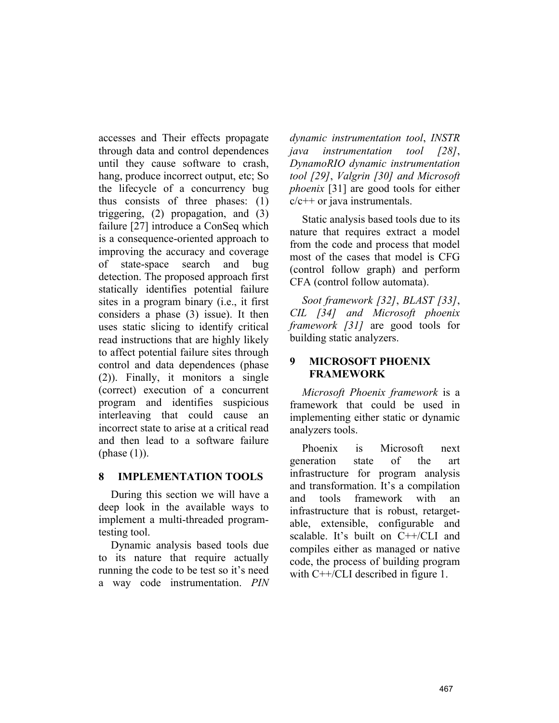accesses and Their effects propagate through data and control dependences until they cause software to crash, hang, produce incorrect output, etc; So the lifecycle of a concurrency bug thus consists of three phases: (1) triggering, (2) propagation, and (3) failure [27] introduce a ConSeq which is a consequence-oriented approach to improving the accuracy and coverage of state-space search and bug detection. The proposed approach first statically identifies potential failure sites in a program binary (i.e., it first considers a phase (3) issue). It then uses static slicing to identify critical read instructions that are highly likely to affect potential failure sites through control and data dependences (phase (2)). Finally, it monitors a single (correct) execution of a concurrent program and identifies suspicious interleaving that could cause an incorrect state to arise at a critical read and then lead to a software failure (phase  $(1)$ ).

### **8 IMPLEMENTATION TOOLS**

During this section we will have a deep look in the available ways to implement a multi-threaded programtesting tool.

Dynamic analysis based tools due to its nature that require actually running the code to be test so it's need a way code instrumentation. *PIN* 

*dynamic instrumentation tool*, *INSTR java instrumentation tool [28]*, *DynamoRIO dynamic instrumentation tool [29]*, *Valgrin [30] and Microsoft phoenix* [31] are good tools for either  $c/c++$  or java instrumentals.

Static analysis based tools due to its nature that requires extract a model from the code and process that model most of the cases that model is CFG (control follow graph) and perform CFA (control follow automata).

*Soot framework [32]*, *BLAST [33]*, *CIL [34] and Microsoft phoenix framework [31]* are good tools for building static analyzers.

### **9 MICROSOFT PHOENIX FRAMEWORK**

*Microsoft Phoenix framework* is a framework that could be used in implementing either static or dynamic analyzers tools.

Phoenix is Microsoft next generation state of the art infrastructure for program analysis and transformation. It's a compilation and tools framework with an infrastructure that is robust, retargetable, extensible, configurable and scalable. It's built on C++/CLI and compiles either as managed or native code, the process of building program with C<sup>++</sup>/CLI described in figure 1.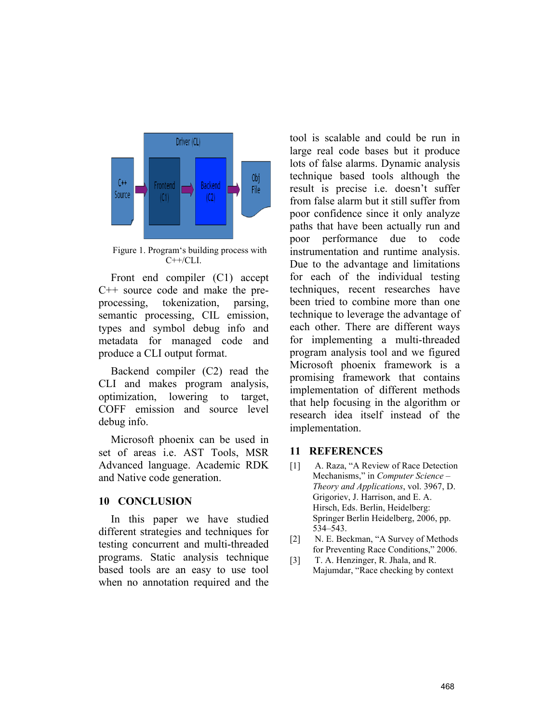

Figure 1. Program's building process with C++/CLI.

Front end compiler (C1) accept C++ source code and make the preprocessing, tokenization, parsing, semantic processing, CIL emission, types and symbol debug info and metadata for managed code and produce a CLI output format.

Backend compiler (C2) read the CLI and makes program analysis, optimization, lowering to target, COFF emission and source level debug info.

Microsoft phoenix can be used in set of areas i.e. AST Tools, MSR Advanced language. Academic RDK and Native code generation.

#### **10 CONCLUSION**

In this paper we have studied different strategies and techniques for testing concurrent and multi-threaded programs. Static analysis technique based tools are an easy to use tool when no annotation required and the

tool is scalable and could be run in large real code bases but it produce lots of false alarms. Dynamic analysis technique based tools although the result is precise i.e. doesn't suffer from false alarm but it still suffer from poor confidence since it only analyze paths that have been actually run and poor performance due to code instrumentation and runtime analysis. Due to the advantage and limitations for each of the individual testing techniques, recent researches have been tried to combine more than one technique to leverage the advantage of each other. There are different ways for implementing a multi-threaded program analysis tool and we figured Microsoft phoenix framework is a promising framework that contains implementation of different methods that help focusing in the algorithm or research idea itself instead of the implementation.

#### **11 REFERENCES**

- [1] A. Raza, "A Review of Race Detection Mechanisms," in *Computer Science – Theory and Applications*, vol. 3967, D. Grigoriev, J. Harrison, and E. A. Hirsch, Eds. Berlin, Heidelberg: Springer Berlin Heidelberg, 2006, pp. 534–543.
- [2] N. E. Beckman, "A Survey of Methods for Preventing Race Conditions," 2006.
- [3] T. A. Henzinger, R. Jhala, and R. Majumdar, "Race checking by context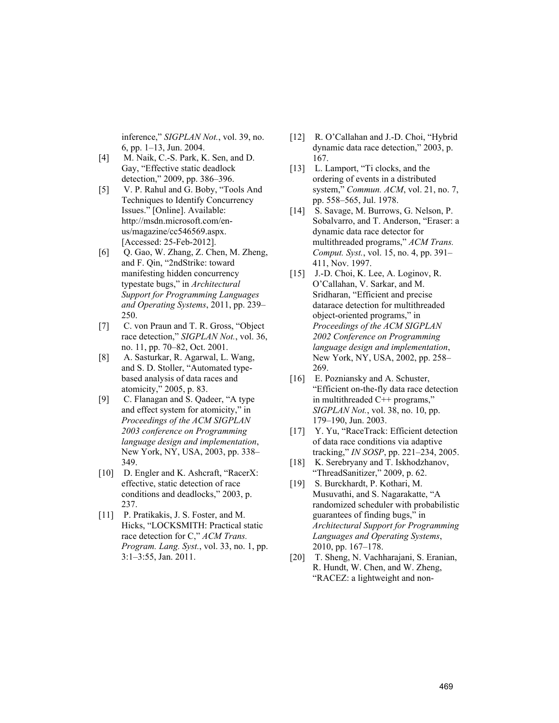inference," *SIGPLAN Not.*, vol. 39, no. 6, pp. 1–13, Jun. 2004.

- [4] M. Naik, C.-S. Park, K. Sen, and D. Gay, "Effective static deadlock detection," 2009, pp. 386–396.
- [5] V. P. Rahul and G. Boby, "Tools And Techniques to Identify Concurrency Issues." [Online]. Available: http://msdn.microsoft.com/enus/magazine/cc546569.aspx. [Accessed: 25-Feb-2012].
- [6] Q. Gao, W. Zhang, Z. Chen, M. Zheng, and F. Qin, "2ndStrike: toward manifesting hidden concurrency typestate bugs," in *Architectural Support for Programming Languages and Operating Systems*, 2011, pp. 239– 250.
- [7] C. von Praun and T. R. Gross, "Object" race detection," *SIGPLAN Not.*, vol. 36, no. 11, pp. 70–82, Oct. 2001.
- [8] A. Sasturkar, R. Agarwal, L. Wang, and S. D. Stoller, "Automated typebased analysis of data races and atomicity," 2005, p. 83.
- [9] C. Flanagan and S. Qadeer, "A type and effect system for atomicity," in *Proceedings of the ACM SIGPLAN 2003 conference on Programming language design and implementation*, New York, NY, USA, 2003, pp. 338– 349.
- [10] D. Engler and K. Ashcraft, "RacerX: effective, static detection of race conditions and deadlocks," 2003, p. 237.
- [11] P. Pratikakis, J. S. Foster, and M. Hicks, "LOCKSMITH: Practical static race detection for C," *ACM Trans. Program. Lang. Syst.*, vol. 33, no. 1, pp. 3:1–3:55, Jan. 2011.
- [12] R. O'Callahan and J.-D. Choi, "Hybrid" dynamic data race detection," 2003, p. 167.
- [13] L. Lamport, "Ti clocks, and the ordering of events in a distributed system," *Commun. ACM*, vol. 21, no. 7, pp. 558–565, Jul. 1978.
- [14] S. Savage, M. Burrows, G. Nelson, P. Sobalvarro, and T. Anderson, "Eraser: a dynamic data race detector for multithreaded programs," *ACM Trans. Comput. Syst.*, vol. 15, no. 4, pp. 391– 411, Nov. 1997.
- [15] J.-D. Choi, K. Lee, A. Loginov, R. O'Callahan, V. Sarkar, and M. Sridharan, "Efficient and precise datarace detection for multithreaded object-oriented programs," in *Proceedings of the ACM SIGPLAN 2002 Conference on Programming language design and implementation*, New York, NY, USA, 2002, pp. 258– 269.
- [16] E. Pozniansky and A. Schuster, "Efficient on-the-fly data race detection in multithreaded C++ programs," *SIGPLAN Not.*, vol. 38, no. 10, pp. 179–190, Jun. 2003.
- [17] Y. Yu, "RaceTrack: Efficient detection of data race conditions via adaptive tracking," *IN SOSP*, pp. 221–234, 2005.
- [18] K. Serebryany and T. Iskhodzhanov, "ThreadSanitizer," 2009, p. 62.
- [19] S. Burckhardt, P. Kothari, M. Musuvathi, and S. Nagarakatte, "A randomized scheduler with probabilistic guarantees of finding bugs," in *Architectural Support for Programming Languages and Operating Systems*, 2010, pp. 167–178.
- [20] T. Sheng, N. Vachharajani, S. Eranian, R. Hundt, W. Chen, and W. Zheng, "RACEZ: a lightweight and non-